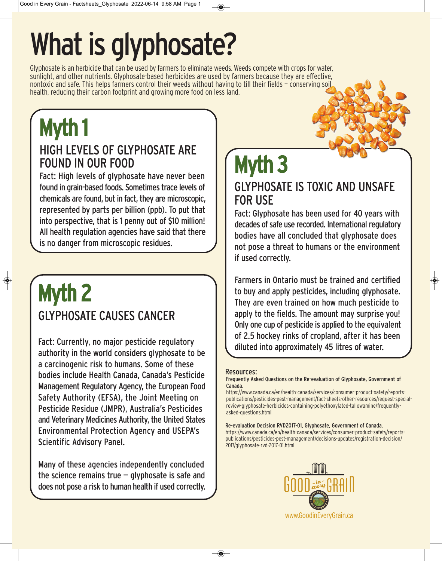# What is glyphosate?

Glyphosate is an herbicide that can be used by farmers to eliminate weeds. Weeds compete with crops for water, sunlight, and other nutrients. Glyphosate-based herbicides are used by farmers because they are effective, nontoxic and safe. This helps farmers control their weeds without having to till their fields — conserving soil health, reducing their carbon footprint and growing more food on less land.

## Myth 1

### HIGH LEVELS OF GLYPHOSATE ARE FOUND IN OUR FOOD

Fact: High levels of glyphosate have never been found in grain-based foods. Sometimes trace levels of chemicals are found, but in fact, they are microscopic, represented by parts per billion (ppb). To put that into perspective, that is 1 penny out of \$10 million! All health regulation agencies have said that there is no danger from microscopic residues.

### Myth 2 GLYPHOSATE CAUSES CANCER

Fact: Currently, no major pesticide regulatory authority in the world considers glyphosate to be a carcinogenic risk to humans. Some of these bodies include Health Canada, Canada's Pesticide Management Regulatory Agency, the European Food Safety Authority (EFSA), the Joint Meeting on Pesticide Residue (JMPR), Australia's Pesticides and Veterinary Medicines Authority, the United States Environmental Protection Agency and USEPA's Scientific Advisory Panel.

Many of these agencies independently concluded the science remains true  $-$  glyphosate is safe and does not pose a risk to human health if used correctly.

## Myth 3

GLYPHOSATE IS TOXIC AND UNSAFE FOR USE

Fact: Glyphosate has been used for 40 years with decades of safe use recorded. International regulatory bodies have all concluded that glyphosate does not pose a threat to humans or the environment if used correctly.

Farmers in Ontario must be trained and certified to buy and apply pesticides, including glyphosate. They are even trained on how much pesticide to apply to the fields. The amount may surprise you! Only one cup of pesticide is applied to the equivalent of 2.5 hockey rinks of cropland, after it has been diluted into approximately 45 litres of water.

#### Resources:

Frequently Asked Questions on the Re-evaluation of Glyphosate, Government of Canada.

https://www.canada.ca/en/health-canada/services/consumer-product-safety/reportspublications/pesticides-pest-management/fact-sheets-other-resources/request-specialreview-glyphosate-herbicides-containing-polyethoxylated-tallowamine/frequentlyasked-questions.html

Re-evaluation Decision RVD2017-01, Glyphosate, Government of Canada. https://www.canada.ca/en/health-canada/services/consumer-product-safety/reportspublications/pesticides-pest-management/decisions-updates/registration-decision/ 2017/glyphosate-rvd-2017-01.html